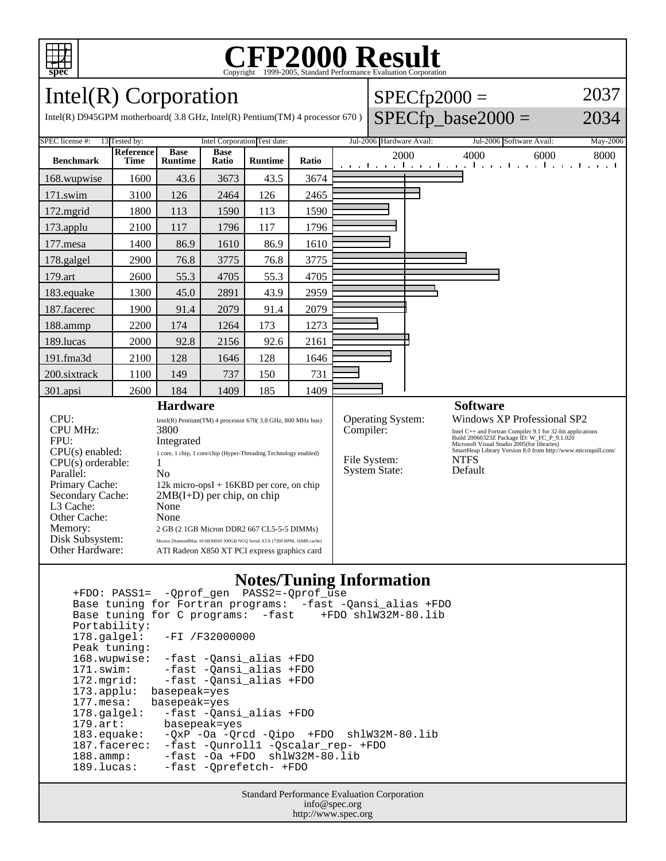

#### **CFP2000 Result** Copyright ©1999-2005, Standard I

2037

2034

Intel(R) Corporation Intel(R) D945GPM motherboard( 3.8 GHz, Intel(R) Pentium(TM) 4 processor 670 )  $SPECfp2000 =$  $SPECfp\_base2000 =$ SPEC license #: 13 Tested by: Intel Corporation Test date: Jul-2006 Hardware Avail: Jul-2006 Software Avail: May-2006 **Benchmark Reference Time Base Runtime Base Ratio Runtime Ratio** 2000 4000 6000 8000 168.wupwise 1600 43.6 3673 43.5 3674 171.swim | 3100 | 126 | 2464 | 126 | 2465 172.mgrid | 1800 | 113 | 1590 | 113 | 1590 173.applu | 2100 | 117 | 1796 | 117 | 1796 177.mesa | 1400 | 86.9 | 1610 | 86.9 | 1610 178.galgel | 2900 | 76.8 | 3775 | 76.8 | 3775 179.art 2600 55.3 4705 55.3 4705 183.equake 1300 45.0 2891 43.9 2959 187.facerec | 1900 | 91.4 | 2079 | 91.4 | 2079 188.ammp | 2200 | 174 | 1264 | 173 | 1273 189.lucas | 2000 | 92.8 | 2156 | 92.6 | 2161 191.fma3d | 2100 | 128 | 1646 | 128 | 1646 200.sixtrack | 1100 | 149 | 737 | 150 | 731 301.apsi 2600 184 1409 185 1409 **Hardware** CPU: Intel(R) Pentium(TM) 4 processor 670( 3.8 GHz, 800 MHz bus) CPU MHz: 3800 FPU: Integrated CPU(s) enabled: 1 core, 1 chip, 1 core/chip (Hyper-Threading Technology enabled)  $CPU(s)$  orderable:  $1$ Parallel: No Primary Cache: 12k micro-opsI + 16KBD per core, on chip Secondary Cache: 2MB(I+D) per chip, on chip L3 Cache: None Other Cache: None **Software** Operating System: Windows XP Professional SP2 Compiler:<br>
Intel C++ and Fortran Compiler 9.1 for 32-bit applications<br>
Build 20060323Z Package ID: W\_FC\_P\_9.1.020<br>
Microsoft Visual Studio 2005(for library Version 8.0 from http://www.microquill.com/<br>
SmartHeap Library Ver File System: NTFS<br>System State: Default System State:

### **Notes/Tuning Information**

 +FDO: PASS1= -Qprof\_gen PASS2=-Qprof\_use Base tuning for Fortran programs: -fast -Qansi\_alias +FDO Base tuning for C programs: -fast Portability:<br>178.galgel: -FI /F32000000 Peak tuning: 168.wupwise: -fast -Qansi\_alias +FDO 171.swim: -fast -Qansi\_alias +FDO<br>172.mgrid: -fast -Qansi\_alias +FDO -fast -Qansi\_alias +FDO 173.applu: basepeak=yes 177.mesa: basepeak=yes 178.galgel: -fast -Qansi\_alias +FDO<br>179.art: basepeak=yes 179.art: basepeak=yes<br>183.equake: -QxP -Oa -Qr -QxP -Oa -Qrcd -Qipo +FDO shlW32M-80.lib 187.facerec: -fast -Qunroll1 -Qscalar\_rep- +FDO 188.ammp: -fast -Oa +FDO shlW32M-80.lib<br>189.lucas: -fast -Oprefetch- +FDO -fast -Oprefetch- +FDO

Memory: 2 GB (2 1GB Micron DDR2 667 CL5-5-5 DIMMs) Disk Subsystem: Maxtor DiamondMax 10 6B300S0 300GB NCQ Serial ATA (7200 RPM, 16MB cache) Other Hardware: ATI Radeon X850 XT PCI express graphics card

> Standard Performance Evaluation Corporation info@spec.org http://www.spec.org